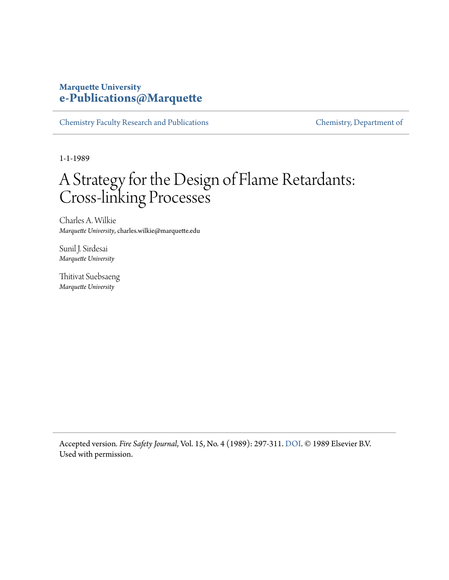## **Marquette University [e-Publications@Marquette](https://epublications.marquette.edu)**

[Chemistry Faculty Research and Publications](https://epublications.marquette.edu/chem_fac) [Chemistry, Department of](https://epublications.marquette.edu/chemistry)

1-1-1989

# A Strategy for the Design of Flame Retardants: Cross-linking Processes

Charles A. Wilkie *Marquette University*, charles.wilkie@marquette.edu

Sunil J. Sirdesai *Marquette University*

Thitivat Suebsaeng *Marquette University*

Accepted version*. Fire Safety Journal*, Vol. 15, No. 4 (1989): 297-311. [DOI.](https://doi.org/10.1016/0379-7112(89)90035-0) © 1989 Elsevier B.V. Used with permission.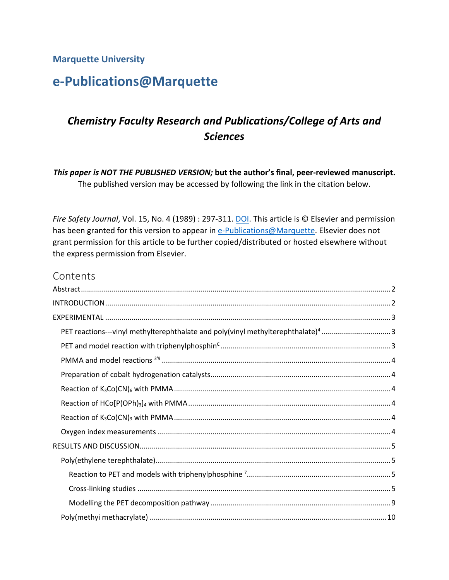**Marquette University**

# **e-Publications@Marquette**

# *Chemistry Faculty Research and Publications/College of Arts and Sciences*

*This paper is NOT THE PUBLISHED VERSION;* **but the author's final, peer-reviewed manuscript.**  The published version may be accessed by following the link in the citation below.

*Fire Safety Journal*, Vol. 15, No. 4 (1989) : 297-311. [DOI.](https://doi.org/10.1016/0379-7112(89)90035-0) This article is © Elsevier and permission has been granted for this version to appear in [e-Publications@Marquette.](http://epublications.marquette.edu/) Elsevier does not grant permission for this article to be further copied/distributed or hosted elsewhere without the express permission from Elsevier.

### **Contents**

| PET reactions---vinyl methylterephthalate and poly(vinyl methylterephthalate) <sup>4</sup> 3 |
|----------------------------------------------------------------------------------------------|
|                                                                                              |
|                                                                                              |
|                                                                                              |
|                                                                                              |
|                                                                                              |
|                                                                                              |
|                                                                                              |
|                                                                                              |
|                                                                                              |
|                                                                                              |
|                                                                                              |
|                                                                                              |
|                                                                                              |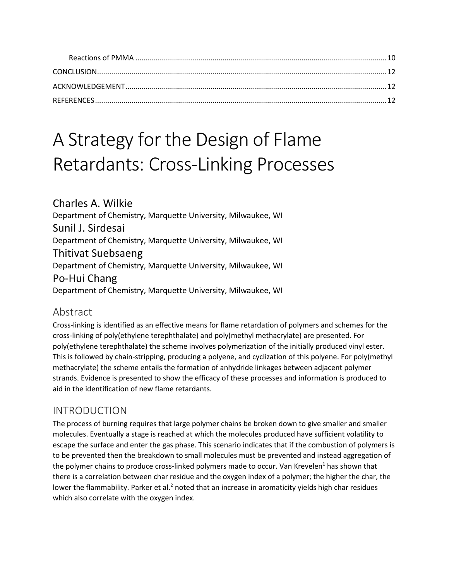# A Strategy for the Design of Flame Retardants: Cross-Linking Processes

Charles A. Wilkie Department of Chemistry, Marquette University, Milwaukee, WI Sunil J. Sirdesai Department of Chemistry, Marquette University, Milwaukee, WI Thitivat Suebsaeng Department of Chemistry, Marquette University, Milwaukee, WI Po-Hui Chang Department of Chemistry, Marquette University, Milwaukee, WI

# <span id="page-2-0"></span>Abstract

Cross-linking is identified as an effective means for flame retardation of polymers and schemes for the cross-linking of poly(ethylene terephthalate) and poly(methyl methacrylate) are presented. For poly(ethylene terephthalate) the scheme involves polymerization of the initially produced vinyl ester. This is followed by chain-stripping, producing a polyene, and cyclization of this polyene. For poly(methyl methacrylate) the scheme entails the formation of anhydride linkages between adjacent polymer strands. Evidence is presented to show the efficacy of these processes and information is produced to aid in the identification of new flame retardants.

# <span id="page-2-1"></span>INTRODUCTION

The process of burning requires that large polymer chains be broken down to give smaller and smaller molecules. Eventually a stage is reached at which the molecules produced have sufficient volatility to escape the surface and enter the gas phase. This scenario indicates that if the combustion of polymers is to be prevented then the breakdown to small molecules must be prevented and instead aggregation of the polymer chains to produce cross-linked polymers made to occur. Van Krevelen<sup>1</sup> has shown that there is a correlation between char residue and the oxygen index of a polymer; the higher the char, the lower the flammability. Parker et al.<sup>2</sup> noted that an increase in aromaticity yields high char residues which also correlate with the oxygen index.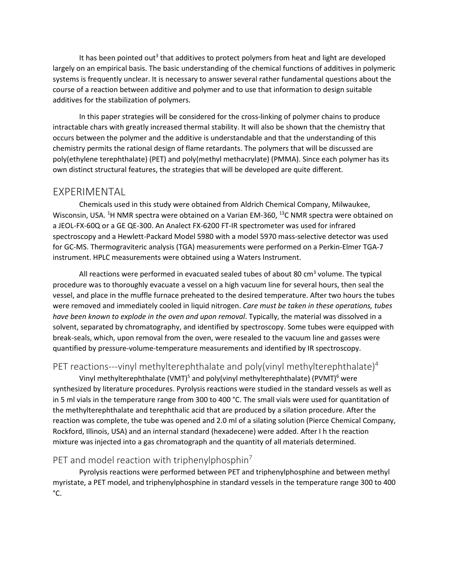It has been pointed out<sup>3</sup> that additives to protect polymers from heat and light are developed largely on an empirical basis. The basic understanding of the chemical functions of additives in polymeric systems is frequently unclear. It is necessary to answer several rather fundamental questions about the course of a reaction between additive and polymer and to use that information to design suitable additives for the stabilization of polymers.

In this paper strategies will be considered for the cross-linking of polymer chains to produce intractable chars with greatly increased thermal stability. It will also be shown that the chemistry that occurs between the polymer and the additive is understandable and that the understanding of this chemistry permits the rational design of flame retardants. The polymers that will be discussed are poly(ethylene terephthalate) (PET) and poly(methyl methacrylate) (PMMA). Since each polymer has its own distinct structural features, the strategies that will be developed are quite different.

### <span id="page-3-0"></span>EXPERIMENTAL

Chemicals used in this study were obtained from Aldrich Chemical Company, Milwaukee, Wisconsin, USA. <sup>1</sup>H NMR spectra were obtained on a Varian EM-360, <sup>13</sup>C NMR spectra were obtained on a JEOL-FX-60Q or a GE QE-300. An Analect FX-6200 FT-IR spectrometer was used for infrared spectroscopy and a Hewlett-Packard Model 5980 with a model 5970 mass-selective detector was used for GC-MS. Thermograviteric analysis (TGA) measurements were performed on a Perkin-Elmer TGA-7 instrument. HPLC measurements were obtained using a Waters Instrument.

All reactions were performed in evacuated sealed tubes of about 80  $\text{cm}^3$  volume. The typical procedure was to thoroughly evacuate a vessel on a high vacuum line for several hours, then seal the vessel, and place in the muffle furnace preheated to the desired temperature. After two hours the tubes were removed and immediately cooled in liquid nitrogen. *Care must be taken in these operations, tubes have been known to explode in the oven and upon removal*. Typically, the material was dissolved in a solvent, separated by chromatography, and identified by spectroscopy. Some tubes were equipped with break-seals, which, upon removal from the oven, were resealed to the vacuum line and gasses were quantified by pressure-volume-temperature measurements and identified by IR spectroscopy.

### <span id="page-3-1"></span>PET reactions---vinyl methylterephthalate and poly(vinyl methylterephthalate)<sup>4</sup>

Vinyl methylterephthalate (VMT)<sup>5</sup> and poly(vinyl methylterephthalate) (PVMT)<sup>6</sup> were synthesized by literature procedures. Pyrolysis reactions were studied in the standard vessels as well as in 5 ml vials in the temperature range from 300 to 400 °C. The small vials were used for quantitation of the methylterephthalate and terephthalic acid that are produced by a silation procedure. After the reaction was complete, the tube was opened and 2.0 ml of a silating solution (Pierce Chemical Company, Rockford, Illinois, USA) and an internal standard (hexadecene) were added. After I h the reaction mixture was injected into a gas chromatograph and the quantity of all materials determined.

### <span id="page-3-2"></span>PET and model reaction with triphenylphosphin<sup>7</sup>

Pyrolysis reactions were performed between PET and triphenylphosphine and between methyl myristate, a PET model, and triphenylphosphine in standard vessels in the temperature range 300 to 400  $^{\circ}$ C.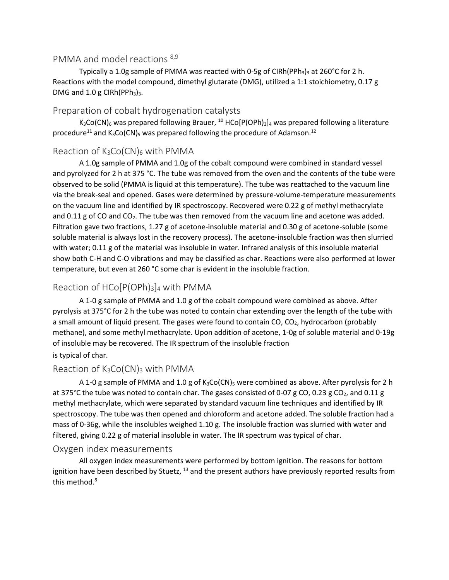### <span id="page-4-0"></span>PMMA and model reactions 8,9

Typically a 1.0g sample of PMMA was reacted with 0-5g of CIRh(PPh<sub>3</sub>)<sub>3</sub> at 260°C for 2 h. Reactions with the model compound, dimethyl glutarate (DMG), utilized a 1:1 stoichiometry, 0.17 g DMG and  $1.0$  g CIRh(PPh<sub>3</sub>)<sub>3</sub>.

### <span id="page-4-1"></span>Preparation of cobalt hydrogenation catalysts

 $K_3$ Co(CN)<sub>6</sub> was prepared following Brauer, <sup>10</sup> HCo[P(OPh)<sub>3</sub>]<sub>4</sub> was prepared following a literature procedure<sup>11</sup> and  $K_3CO(CN)_5$  was prepared following the procedure of Adamson.<sup>12</sup>

### <span id="page-4-2"></span>Reaction of  $K_3Co(CN)_6$  with PMMA

A 1.0g sample of PMMA and 1.0g of the cobalt compound were combined in standard vessel and pyrolyzed for 2 h at 375 °C. The tube was removed from the oven and the contents of the tube were observed to be solid (PMMA is liquid at this temperature). The tube was reattached to the vacuum line via the break-seal and opened. Gases were determined by pressure-volume-temperature measurements on the vacuum line and identified by IR spectroscopy. Recovered were 0.22 g of methyl methacrylate and 0.11 g of CO and  $CO<sub>2</sub>$ . The tube was then removed from the vacuum line and acetone was added. Filtration gave two fractions, 1.27 g of acetone-insoluble material and 0.30 g of acetone-soluble (some soluble material is always lost in the recovery process). The acetone-insoluble fraction was then slurried with water; 0.11 g of the material was insoluble in water. Infrared analysis of this insoluble material show both C-H and C-O vibrations and may be classified as char. Reactions were also performed at lower temperature, but even at 260 °C some char is evident in the insoluble fraction.

### <span id="page-4-3"></span>Reaction of  $HCo[P(OPh)]_4$  with PMMA

<span id="page-4-4"></span>A 1-0 g sample of PMMA and 1.0 g of the cobalt compound were combined as above. After pyrolysis at 375°C for 2 h the tube was noted to contain char extending over the length of the tube with a small amount of liquid present. The gases were found to contain CO, CO<sub>2</sub>, hydrocarbon (probably methane), and some methyl methacrylate. Upon addition of acetone, 1-0g of soluble material and 0-19g of insoluble may be recovered. The IR spectrum of the insoluble fraction is typical of char.

# Reaction of  $K_3Co(CN)_3$  with PMMA

<span id="page-4-5"></span>A 1-0 g sample of PMMA and 1.0 g of  $K_3Co(CN)_5$  were combined as above. After pyrolysis for 2 h at 375°C the tube was noted to contain char. The gases consisted of 0-07 g CO, 0.23 g CO<sub>2</sub>, and 0.11 g methyl methacrylate, which were separated by standard vacuum line techniques and identified by IR spectroscopy. The tube was then opened and chloroform and acetone added. The soluble fraction had a mass of 0-36g, while the insolubles weighed 1.10 g. The insoluble fraction was slurried with water and filtered, giving 0.22 g of material insoluble in water. The IR spectrum was typical of char.

### Oxygen index measurements

All oxygen index measurements were performed by bottom ignition. The reasons for bottom ignition have been described by Stuetz, <sup>13</sup> and the present authors have previously reported results from this method. 8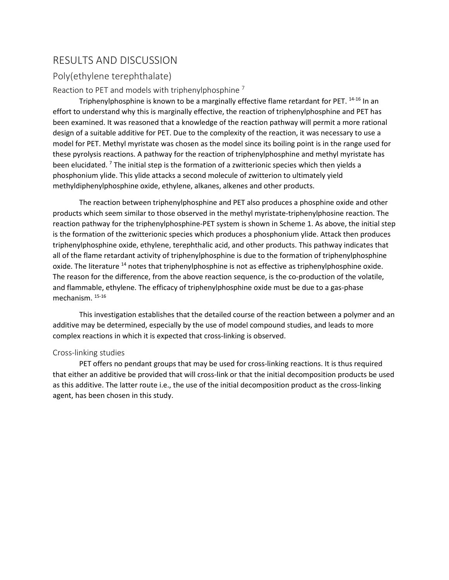## <span id="page-5-0"></span>RESULTS AND DISCUSSION

### <span id="page-5-1"></span>Poly(ethylene terephthalate)

### <span id="page-5-2"></span>Reaction to PET and models with triphenylphosphine 7

Triphenylphosphine is known to be a marginally effective flame retardant for PET. <sup>14-16</sup> In an effort to understand why this is marginally effective, the reaction of triphenylphosphine and PET has been examined. It was reasoned that a knowledge of the reaction pathway will permit a more rational design of a suitable additive for PET. Due to the complexity of the reaction, it was necessary to use a model for PET. Methyl myristate was chosen as the model since its boiling point is in the range used for these pyrolysis reactions. A pathway for the reaction of triphenylphosphine and methyl myristate has been elucidated.<sup>7</sup> The initial step is the formation of a zwitterionic species which then yields a phosphonium ylide. This ylide attacks a second molecule of zwitterion to ultimately yield methyldiphenylphosphine oxide, ethylene, alkanes, alkenes and other products.

The reaction between triphenylphosphine and PET also produces a phosphine oxide and other products which seem similar to those observed in the methyl myristate-triphenylphosine reaction. The reaction pathway for the triphenylphosphine-PET system is shown in Scheme 1. As above, the initial step is the formation of the zwitterionic species which produces a phosphonium ylide. Attack then produces triphenylphosphine oxide, ethylene, terephthalic acid, and other products. This pathway indicates that all of the flame retardant activity of triphenylphosphine is due to the formation of triphenylphosphine oxide. The literature <sup>14</sup> notes that triphenylphosphine is not as effective as triphenylphosphine oxide. The reason for the difference, from the above reaction sequence, is the co-production of the volatile, and flammable, ethylene. The efficacy of triphenylphosphine oxide must be due to a gas-phase mechanism. 15-16

This investigation establishes that the detailed course of the reaction between a polymer and an additive may be determined, especially by the use of model compound studies, and leads to more complex reactions in which it is expected that cross-linking is observed.

### <span id="page-5-3"></span>Cross-linking studies

PET offers no pendant groups that may be used for cross-linking reactions. It is thus required that either an additive be provided that will cross-link or that the initial decomposition products be used as this additive. The latter route i.e., the use of the initial decomposition product as the cross-linking agent, has been chosen in this study.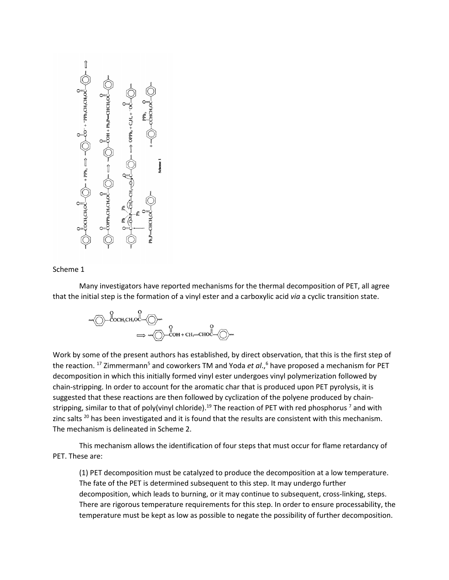

#### Scheme 1

Many investigators have reported mechanisms for the thermal decomposition of PET, all agree that the initial step is the formation of a vinyl ester and a carboxylic acid *via* a cyclic transition state.



Work by some of the present authors has established, by direct observation, that this is the first step of the reaction. <sup>17</sup> Zimmermann<sup>5</sup> and coworkers TM and Yoda *et al.*,<sup>6</sup> have proposed a mechanism for PET decomposition in which this initially formed vinyl ester undergoes vinyl polymerization followed by chain-stripping. In order to account for the aromatic char that is produced upon PET pyrolysis, it is suggested that these reactions are then followed by cyclization of the polyene produced by chainstripping, similar to that of poly(vinyl chloride).<sup>19</sup> The reaction of PET with red phosphorus  $^7$  and with zinc salts  $^{20}$  has been investigated and it is found that the results are consistent with this mechanism. The mechanism is delineated in Scheme 2.

This mechanism allows the identification of four steps that must occur for flame retardancy of PET. These are:

(1) PET decomposition must be catalyzed to produce the decomposition at a low temperature. The fate of the PET is determined subsequent to this step. It may undergo further decomposition, which leads to burning, or it may continue to subsequent, cross-linking, steps. There are rigorous temperature requirements for this step. In order to ensure processability, the temperature must be kept as low as possible to negate the possibility of further decomposition.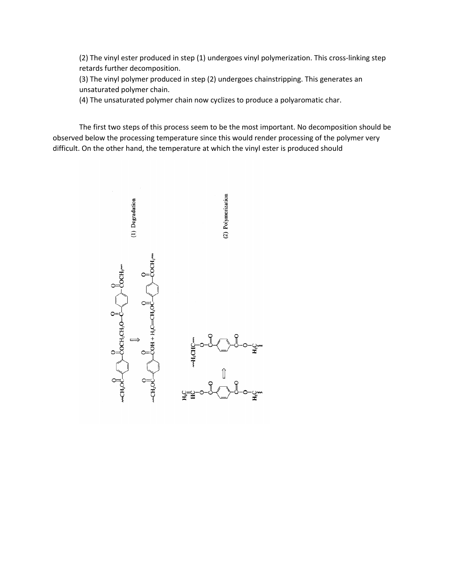(2) The vinyl ester produced in step (1) undergoes vinyl polymerization. This cross-linking step retards further decomposition.

(3) The vinyl polymer produced in step (2) undergoes chainstripping. This generates an unsaturated polymer chain.

(4) The unsaturated polymer chain now cyclizes to produce a polyaromatic char.

The first two steps of this process seem to be the most important. No decomposition should be observed below the processing temperature since this would render processing of the polymer very difficult. On the other hand, the temperature at which the vinyl ester is produced should

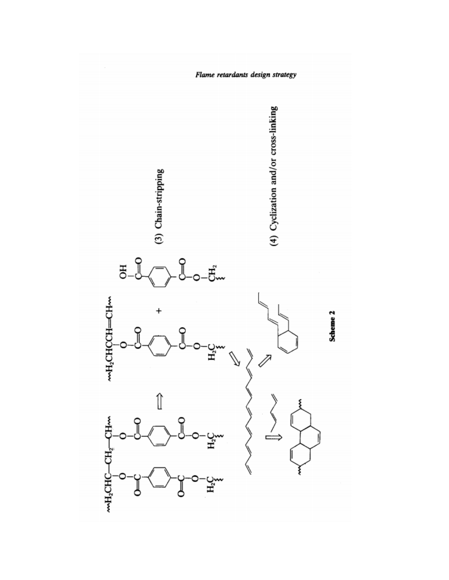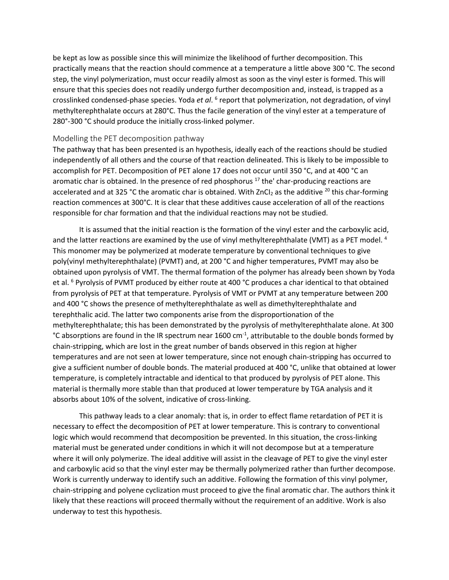be kept as low as possible since this will minimize the likelihood of further decomposition. This practically means that the reaction should commence at a temperature a little above 300 °C. The second step, the vinyl polymerization, must occur readily almost as soon as the vinyl ester is formed. This will ensure that this species does not readily undergo further decomposition and, instead, is trapped as a crosslinked condensed-phase species. Yoda *et al*. 6 report that polymerization, not degradation, of vinyl methylterephthalate occurs at 280°C. Thus the facile generation of the vinyl ester at a temperature of 280°-300 °C should produce the initially cross-linked polymer.

#### <span id="page-9-0"></span>Modelling the PET decomposition pathway

The pathway that has been presented is an hypothesis, ideally each of the reactions should be studied independently of all others and the course of that reaction delineated. This is likely to be impossible to accomplish for PET. Decomposition of PET alone 17 does not occur until 350 °C, and at 400 °C an aromatic char is obtained. In the presence of red phosphorus  $17$  the' char-producing reactions are accelerated and at 325 °C the aromatic char is obtained. With ZnCI<sub>2</sub> as the additive <sup>20</sup> this char-forming reaction commences at 300°C. It is clear that these additives cause acceleration of all of the reactions responsible for char formation and that the individual reactions may not be studied.

It is assumed that the initial reaction is the formation of the vinyl ester and the carboxylic acid, and the latter reactions are examined by the use of vinyl methylterephthalate (VMT) as a PET model. <sup>4</sup> This monomer may be polymerized at moderate temperature by conventional techniques to give poly(vinyl methylterephthalate) (PVMT) and, at 200 °C and higher temperatures, PVMT may also be obtained upon pyrolysis of VMT. The thermal formation of the polymer has already been shown by Yoda et al. <sup>6</sup> Pyrolysis of PVMT produced by either route at 400 °C produces a char identical to that obtained from pyrolysis of PET at that temperature. Pyrolysis of VMT or PVMT at any temperature between 200 and 400 °C shows the presence of methylterephthalate as well as dimethylterephthalate and terephthalic acid. The latter two components arise from the disproportionation of the methylterephthalate; this has been demonstrated by the pyrolysis of methylterephthalate alone. At 300  $^{\circ}$ C absorptions are found in the IR spectrum near 1600 cm<sup>-1</sup>, attributable to the double bonds formed by chain-stripping, which are lost in the great number of bands observed in this region at higher temperatures and are not seen at lower temperature, since not enough chain-stripping has occurred to give a sufficient number of double bonds. The material produced at 400 °C, unlike that obtained at lower temperature, is completely intractable and identical to that produced by pyrolysis of PET alone. This material is thermally more stable than that produced at lower temperature by TGA analysis and it absorbs about 10% of the solvent, indicative of cross-linking.

This pathway leads to a clear anomaly: that is, in order to effect flame retardation of PET it is necessary to effect the decomposition of PET at lower temperature. This is contrary to conventional logic which would recommend that decomposition be prevented. In this situation, the cross-linking material must be generated under conditions in which it will not decompose but at a temperature where it will only polymerize. The ideal additive will assist in the cleavage of PET to give the vinyl ester and carboxylic acid so that the vinyl ester may be thermally polymerized rather than further decompose. Work is currently underway to identify such an additive. Following the formation of this vinyl polymer, chain-stripping and polyene cyclization must proceed to give the final aromatic char. The authors think it likely that these reactions will proceed thermally without the requirement of an additive. Work is also underway to test this hypothesis.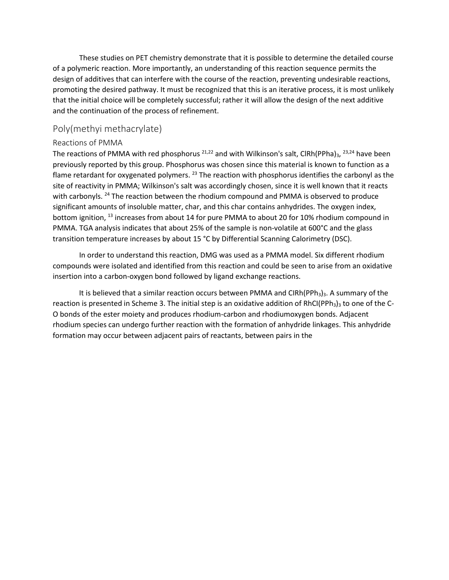These studies on PET chemistry demonstrate that it is possible to determine the detailed course of a polymeric reaction. More importantly, an understanding of this reaction sequence permits the design of additives that can interfere with the course of the reaction, preventing undesirable reactions, promoting the desired pathway. It must be recognized that this is an iterative process, it is most unlikely that the initial choice will be completely successful; rather it will allow the design of the next additive and the continuation of the process of refinement.

### <span id="page-10-0"></span>Poly(methyi methacrylate)

#### <span id="page-10-1"></span>Reactions of PMMA

The reactions of PMMA with red phosphorus  $^{21,22}$  and with Wilkinson's salt, ClRh(PPha)<sub>3</sub>,  $^{23,24}$  have been previously reported by this group. Phosphorus was chosen since this material is known to function as a flame retardant for oxygenated polymers.  $^{23}$  The reaction with phosphorus identifies the carbonyl as the site of reactivity in PMMA; Wilkinson's salt was accordingly chosen, since it is well known that it reacts with carbonyls. <sup>24</sup> The reaction between the rhodium compound and PMMA is observed to produce significant amounts of insoluble matter, char, and this char contains anhydrides. The oxygen index, bottom ignition, <sup>13</sup> increases from about 14 for pure PMMA to about 20 for 10% rhodium compound in PMMA. TGA analysis indicates that about 25% of the sample is non-volatile at 600°C and the glass transition temperature increases by about 15 °C by Differential Scanning Calorimetry (DSC).

In order to understand this reaction, DMG was used as a PMMA model. Six different rhodium compounds were isolated and identified from this reaction and could be seen to arise from an oxidative insertion into a carbon-oxygen bond followed by ligand exchange reactions.

It is believed that a similar reaction occurs between PMMA and CIRh(PPh<sub>3</sub>)<sub>3</sub>. A summary of the reaction is presented in Scheme 3. The initial step is an oxidative addition of RhCI(PPh<sub>3</sub>)<sub>3</sub> to one of the C-O bonds of the ester moiety and produces rhodium-carbon and rhodiumoxygen bonds. Adjacent rhodium species can undergo further reaction with the formation of anhydride linkages. This anhydride formation may occur between adjacent pairs of reactants, between pairs in the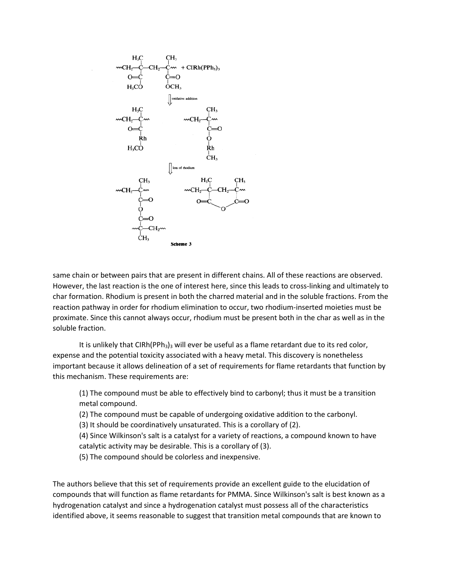

same chain or between pairs that are present in different chains. All of these reactions are observed. However, the last reaction is the one of interest here, since this leads to cross-linking and ultimately to char formation. Rhodium is present in both the charred material and in the soluble fractions. From the reaction pathway in order for rhodium elimination to occur, two rhodium-inserted moieties must be proximate. Since this cannot always occur, rhodium must be present both in the char as well as in the soluble fraction.

It is unlikely that CIRh(PPh<sub>3</sub>)<sub>3</sub> will ever be useful as a flame retardant due to its red color, expense and the potential toxicity associated with a heavy metal. This discovery is nonetheless important because it allows delineation of a set of requirements for flame retardants that function by this mechanism. These requirements are:

(1) The compound must be able to effectively bind to carbonyl; thus it must be a transition metal compound.

(2) The compound must be capable of undergoing oxidative addition to the carbonyl.

(3) It should be coordinatively unsaturated. This is a corollary of (2).

(4) Since Wilkinson's salt is a catalyst for a variety of reactions, a compound known to have catalytic activity may be desirable. This is a corollary of (3).

(5) The compound should be colorless and inexpensive.

The authors believe that this set of requirements provide an excellent guide to the elucidation of compounds that will function as flame retardants for PMMA. Since Wilkinson's salt is best known as a hydrogenation catalyst and since a hydrogenation catalyst must possess all of the characteristics identified above, it seems reasonable to suggest that transition metal compounds that are known to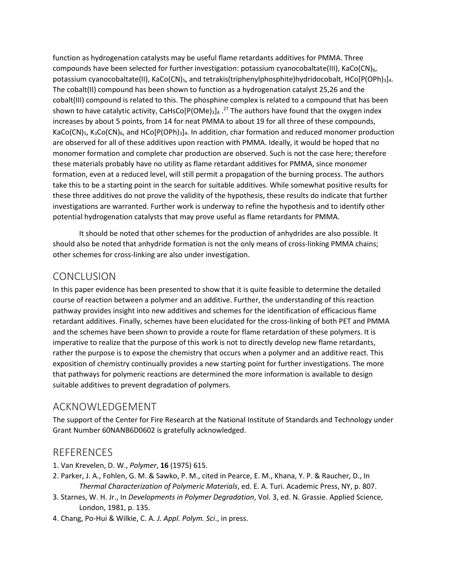function as hydrogenation catalysts may be useful flame retardants additives for PMMA. Three compounds have been selected for further investigation: potassium cyanocobaltate(III), KaCo(CN) $_6$ , potassium cyanocobaltate(II), KaCo(CN)<sub>5</sub>, and tetrakis(triphenylphosphite)hydridocobalt, HCo[P(OPh)<sub>3</sub>]<sub>4</sub>. The cobalt(II) compound has been shown to function as a hydrogenation catalyst 25,26 and the cobalt(III) compound is related to this. The phosphine complex is related to a compound that has been shown to have catalytic activity, CaHsCo[P(OMe)<sub>3</sub>]<sub>4</sub>.<sup>27</sup> The authors have found that the oxygen index increases by about 5 points, from 14 for neat PMMA to about 19 for all three of these compounds, KaCo(CN)<sub>5</sub>, K<sub>3</sub>Co(CN)<sub>6</sub>, and HCo[P(OPh)<sub>3</sub>]<sub>4</sub>. In addition, char formation and reduced monomer production are observed for all of these additives upon reaction with PMMA. Ideally, it would be hoped that no monomer formation and complete char production are observed. Such is not the case here; therefore these materials probably have no utility as flame retardant additives for PMMA, since monomer formation, even at a reduced level, will still permit a propagation of the burning process. The authors take this to be a starting point in the search for suitable additives. While somewhat positive results for these three additives do not prove the validity of the hypothesis, these results do indicate that further investigations are warranted. Further work is underway to refine the hypothesis and to identify other potential hydrogenation catalysts that may prove useful as flame retardants for PMMA.

It should be noted that other schemes for the production of anhydrides are also possible. It should also be noted that anhydride formation is not the only means of cross-linking PMMA chains; other schemes for cross-linking are also under investigation.

## <span id="page-12-0"></span>**CONCLUSION**

In this paper evidence has been presented to show that it is quite feasible to determine the detailed course of reaction between a polymer and an additive. Further, the understanding of this reaction pathway provides insight into new additives and schemes for the identification of efficacious flame retardant additives. Finally, schemes have been elucidated for the cross-linking of both PET and PMMA and the schemes have been shown to provide a route for flame retardation of these polymers. It is imperative to realize that the purpose of this work is not to directly develop new flame retardants, rather the purpose is to expose the chemistry that occurs when a polymer and an additive react. This exposition of chemistry continually provides a new starting point for further investigations. The more that pathways for polymeric reactions are determined the more information is available to design suitable additives to prevent degradation of polymers.

### <span id="page-12-1"></span>ACKNOWLEDGEMENT

The support of the Center for Fire Research at the National Institute of Standards and Technology under Grant Number 60NANB6D0602 is gratefully acknowledged.

# <span id="page-12-2"></span>**REFERENCES**

- 1. Van Krevelen, D. W., *Polymer*, **16** (1975) 615.
- 2. Parker, J. A., Fohlen, G. M. & Sawko, P. M., cited in Pearce, E. M., Khana, Y. P. & Raucher, D., In *Thermal Characterization of Polymeric Materials*, ed. E. A. Turi. Academic Press, NY, p. 807.
- 3. Starnes, W. H. Jr., In *Developments in Polymer Degradation*, Vol. 3, ed. N. Grassie. Applied Science, London, 1981, p. 135.
- 4. Chang, Po-Hui & Wilkie, C. A. *J. Appl. Polym. Sci*., in press.